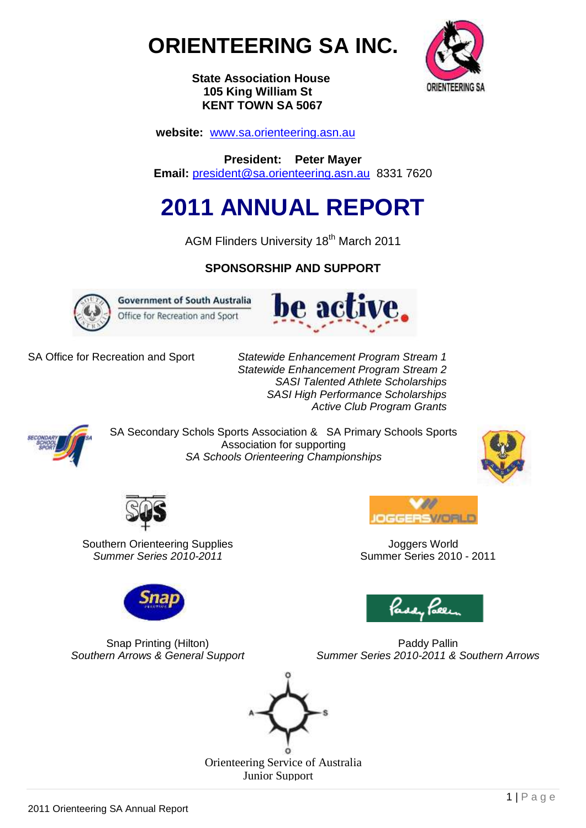



 **State Association House 105 King William St KENT TOWN SA 5067**

 **website:** [www.sa.orienteering.asn.au](http://www.sa.orienteering.asn.au/)

**President: Peter Mayer Email:** [president@sa.orienteering.asn.au](mailto:president@sa.orienteering.asn.au) 8331 7620

# **2011 ANNUAL REPORT**

AGM Flinders University 18<sup>th</sup> March 2011

# **SPONSORSHIP AND SUPPORT**



**Government of South Australia** Office for Recreation and Sport



SA Office for Recreation and Sport *Statewide Enhancement Program Stream 1 Statewide Enhancement Program Stream 2 SASI Talented Athlete Scholarships SASI High Performance Scholarships Active Club Program Grants*



SA Secondary Schols Sports Association & SA Primary Schools Sports Association for supporting *SA Schools Orienteering Championships*





Southern Orienteering Supplies *Summer Series 2010-2011*



**Joggers World** Summer Series 2010 - 2011



Snap Printing (Hilton) *Southern Arrows & General Support*



Paddy Pallin *Summer Series 2010-2011 & Southern Arrows*



 Orienteering Service of Australia Junior Support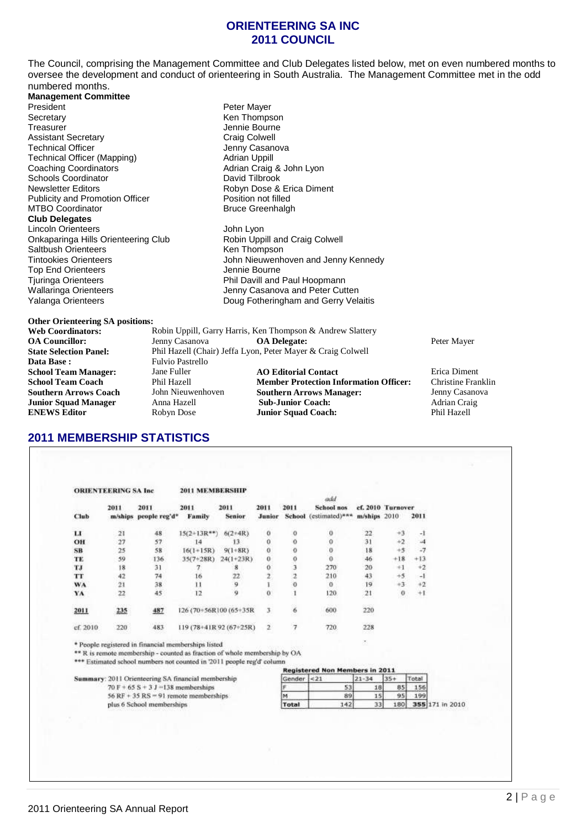#### **ORIENTEERING SA INC 2011 COUNCIL**

The Council, comprising the Management Committee and Club Delegates listed below, met on even numbered months to oversee the development and conduct of orienteering in South Australia. The Management Committee met in the odd numbered months.

Jennie Bourne

Jenny Casanova<br>Adrian Uppill

**Bruce Greenhalgh** 

Adrian Craig & John Lyon<br>David Tilbrook

Robyn Dose & Erica Diment<br>Position not filled

John Nieuwenhoven and Jenny Kennedy

Jenny Casanova and Peter Cutten

**Management Committee**

President Peter Mayer<br>
Secretary Contract Contract Contract Contract Contract Contract Contract Contract Contract Contract Contract Contract Contract Contract Contract Contract Contract Contract Contract Contract Contract Secretary Ken Thompson Assistant Secretary **Calculary Craig Colwell**<br>
Technical Officer **Craig Collection**<br>
Jenny Casand Technical Officer (Mapping)<br>Coaching Coordinators Schools Coordinator<br>Newsletter Editors Publicity and Promotion Officer<br>MTBO Coordinator **Club Delegates** Lincoln Orienteers John Lyon Onkaparinga Hills Orienteering Club Robin Uppill and Craig Colwell Saltbush Orienteers Time Control of the Men Thompson<br>Timtookies Orienteers Time John Nieuwenh Top End Orienteers **Accord Ending Times In the Sourne**<br>
Tiuringa Orienteers **Accord End Accord Phil Davill** and Tjuringa Orienteers **Phil Davill and Paul Hoopmann**<br>
Wallaringa Orienteers **Phil Davill Accord Peter Cut**<br>
Jenny Casanova and Peter Cut Yalanga Orienteers Doug Fotheringham and Gerry Velaitis

#### **Other Orienteering SA positions:**

**2011 MEMBERSHIP STATISTICS**

| Other Ortenteering Dry positions. |                                                            |                                                             |                    |
|-----------------------------------|------------------------------------------------------------|-------------------------------------------------------------|--------------------|
| <b>Web Coordinators:</b>          | Robin Uppill, Garry Harris, Ken Thompson & Andrew Slattery |                                                             |                    |
| <b>OA Councillor:</b>             | Jenny Casanova                                             | <b>OA</b> Delegate:                                         | Peter Mayer        |
| <b>State Selection Panel:</b>     |                                                            | Phil Hazell (Chair) Jeffa Lyon, Peter Mayer & Craig Colwell |                    |
| Data Base:                        | <b>Fulvio Pastrello</b>                                    |                                                             |                    |
| <b>School Team Manager:</b>       | Jane Fuller                                                | <b>AO Editorial Contact</b>                                 | Erica Diment       |
| <b>School Team Coach</b>          | Phil Hazell                                                | <b>Member Protection Information Officer:</b>               | Christine Franklin |
| <b>Southern Arrows Coach</b>      | John Nieuwenhoven                                          | <b>Southern Arrows Manager:</b>                             | Jenny Casanova     |
| <b>Junior Squad Manager</b>       | Anna Hazell                                                | <b>Sub-Junior Coach:</b>                                    | Adrian Craig       |
| <b>ENEWS Editor</b>               | Robyn Dose                                                 | <b>Junior Squad Coach:</b>                                  | Phil Hazell        |
|                                   |                                                            |                                                             |                    |

#### **ORIENTEERING SA Inc.** 2011 MEMBERSHIP add 2011 2011 2011 2011 2011 2011 **School nos** cf. 2010 Turnover (estimated)\*\*\* Club m/ships people reg'd\* Family **Senior** Junior School m/ships 2010 2011  $15(2+13R^{++})$  6(2+4R) ö  $1.1$ 21 48  $\ddot{o}$  $\ddot{\circ}$  $22$  $+3$  $\cdot$ i OH  $\alpha$  $\mathbf 0$  $\mathbf{0}$ 31  $+2$  $\overline{4}$ 27 57  $13$  $14$  $\cdot$ 7  $S<sub>B</sub>$ 25  $58$  $16(1+15R)$  $9(1+8R)$  $\theta$  $18$  $+5$  $\Omega$  $\Omega$ TE. 50 136 35(7+28R) 24(1+23R)  $\Omega$  $\sigma$  $\Omega$  $46^{1}$  $+18$  $+13$ TJ 18  $31$  $\overline{7}$  $\overline{\mathbf{3}}$  $\alpha$  $\overline{\mathbf{3}}$ 270 20  $+1$  $+2$ TT 42 74 16  $22$  $\overline{2}$  $\overline{\mathbf{2}}$ 210 43  $+5$  $-1$  $\bf{0}$ WA 21 38 Ĥ 9  $\bf 0$  $19$  $+3$  $+2$ ï ö 120  $21$ YA  $22$ 45  $12$  $\alpha$ ï  $\alpha$  $+1$ 2011 126 (70+56R100 (65+35R  $\overline{\mathbf{3}}$  $\ddot{6}$ 600 220 235 487 119 (78+41R 92 (67+25R) cf. 2010  $220$ 483  $\overline{2}$  $\overline{\tau}$ 720  $228$ \* People registered in financial memberships listed \*\* R is remote membership - counted as fraction of whole membership by OA \*\*\* Estimated school numbers not counted in '2011 people reg'd' column **Registered Non Members in 2011**

Summary: 2011 Orienteering SA financial membership Gender  $|<$  21  $21 - 34$  $35+$ Total  $70 F + 65 S + 3 J = 138$  memberships 53 85 156 18  $56$  RF + 35 RS = 91 remote memberships 89 95 199 M 15 plus 6 School memberships 355 171 in 2010 142 Total 33 180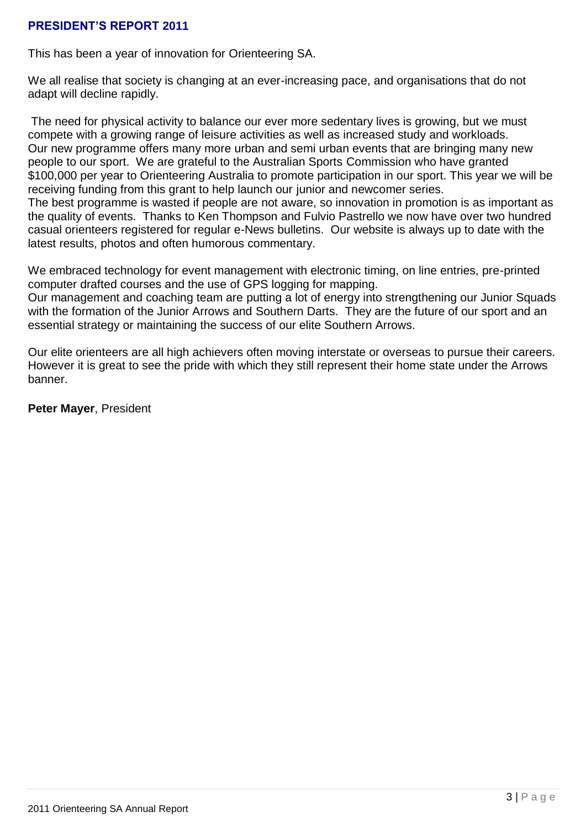# **PRESIDENT'S REPORT 2011**

This has been a year of innovation for Orienteering SA.

We all realise that society is changing at an ever-increasing pace, and organisations that do not adapt will decline rapidly.

The need for physical activity to balance our ever more sedentary lives is growing, but we must compete with a growing range of leisure activities as well as increased study and workloads. Our new programme offers many more urban and semi urban events that are bringing many new people to our sport. We are grateful to the Australian Sports Commission who have granted \$100,000 per year to Orienteering Australia to promote participation in our sport. This year we will be receiving funding from this grant to help launch our junior and newcomer series. The best programme is wasted if people are not aware, so innovation in promotion is as important as the quality of events. Thanks to Ken Thompson and Fulvio Pastrello we now have over two hundred

casual orienteers registered for regular e-News bulletins. Our website is always up to date with the latest results, photos and often humorous commentary.

We embraced technology for event management with electronic timing, on line entries, pre-printed computer drafted courses and the use of GPS logging for mapping.

Our management and coaching team are putting a lot of energy into strengthening our Junior Squads with the formation of the Junior Arrows and Southern Darts. They are the future of our sport and an essential strategy or maintaining the success of our elite Southern Arrows.

Our elite orienteers are all high achievers often moving interstate or overseas to pursue their careers. However it is great to see the pride with which they still represent their home state under the Arrows banner.

**Peter Mayer**, President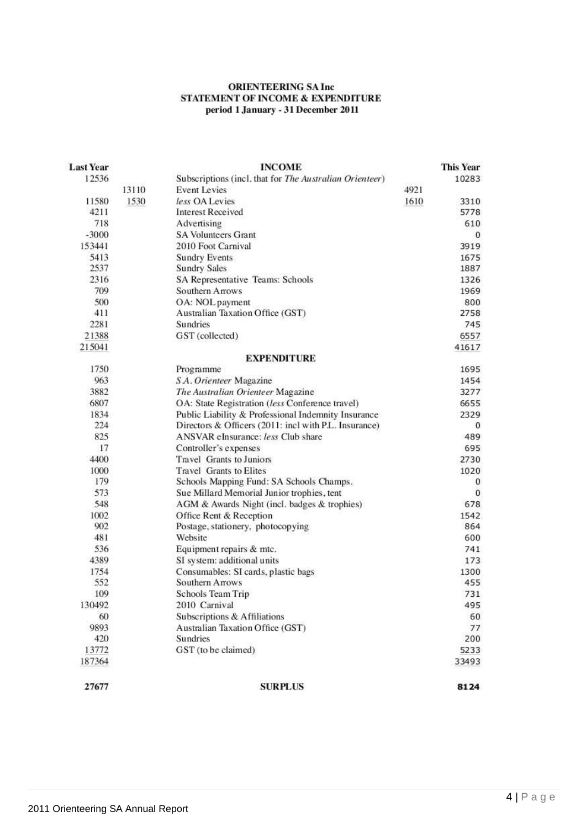#### **ORIENTEERING SA Inc** STATEMENT OF INCOME & EXPENDITURE period 1 January - 31 December 2011

| <b>Last Year</b> |       | <b>INCOME</b>                                           |      | <b>This Year</b> |
|------------------|-------|---------------------------------------------------------|------|------------------|
| 12536            |       | Subscriptions (incl. that for The Australian Orienteer) |      | 10283            |
|                  | 13110 | <b>Event Levies</b>                                     | 4921 |                  |
| 11580            | 1530  | less OA Levies                                          | 1610 | 3310             |
| 4211             |       | <b>Interest Received</b>                                |      | 5778             |
| 718              |       | Advertising                                             |      | 610              |
| $-3000$          |       | <b>SA Volunteers Grant</b>                              |      | 0                |
| 153441           |       | 2010 Foot Carnival                                      |      | 3919             |
| 5413             |       | <b>Sundry Events</b>                                    |      | 1675             |
| 2537             |       | <b>Sundry Sales</b>                                     |      | 1887             |
| 2316             |       | SA Representative Teams: Schools                        |      | 1326             |
| 709              |       | Southern Arrows                                         |      | 1969             |
| 500              |       | OA: NOL payment                                         |      | 800              |
| 411              |       | Australian Taxation Office (GST)                        |      | 2758             |
| 2281             |       | Sundries                                                |      | 745              |
| 21388            |       | GST (collected)                                         |      | 6557             |
| 215041           |       |                                                         |      | 41617            |
|                  |       | <b>EXPENDITURE</b>                                      |      |                  |
| 1750             |       | Programme                                               |      | 1695             |
| 963              |       | S.A. Orienteer Magazine                                 |      | 1454             |
| 3882             |       | The Australian Orienteer Magazine                       |      | 3277             |
| 6807             |       | OA: State Registration (less Conference travel)         |      | 6655             |
| 1834             |       | Public Liability & Professional Indemnity Insurance     |      | 2329             |
| 224              |       | Directors & Officers (2011: incl with P.L. Insurance)   |      | $^{\circ}$       |
| 825              |       | ANSVAR eInsurance: less Club share                      |      | 489              |
| 17               |       | Controller's expenses                                   |      | 695              |
| 4400             |       | Travel Grants to Juniors                                |      | 2730             |
| 1000             |       | <b>Travel Grants to Elites</b>                          |      | 1020             |
| 179              |       | Schools Mapping Fund: SA Schools Champs.                |      | 0                |
| 573              |       | Sue Millard Memorial Junior trophies, tent              |      | 0                |
| 548              |       | AGM & Awards Night (incl. badges & trophies)            |      | 678              |
| 1002             |       | Office Rent & Reception                                 |      | 1542             |
| 902              |       | Postage, stationery, photocopying                       |      | 864              |
| 481              |       | Website                                                 |      | 600              |
| 536              |       | Equipment repairs & mtc.                                |      | 741              |
| 4389             |       | SI system: additional units                             |      | 173              |
| 1754             |       | Consumables: SI cards, plastic bags                     |      | 1300             |
| 552              |       | Southern Arrows                                         |      | 455              |
| 109              |       | Schools Team Trip                                       |      | 731              |
| 130492           |       | 2010 Carnival                                           |      | 495              |
| 60               |       | Subscriptions & Affiliations                            |      | 60               |
| 9893             |       | Australian Taxation Office (GST)                        |      | 77               |
| 420              |       | Sundries                                                |      | 200              |
| 13772            |       | GST (to be claimed)                                     |      | 5233             |
| 187364           |       |                                                         |      | 33493            |
|                  |       |                                                         |      |                  |
| 27677            |       | <b>SURPLUS</b>                                          |      | 8124             |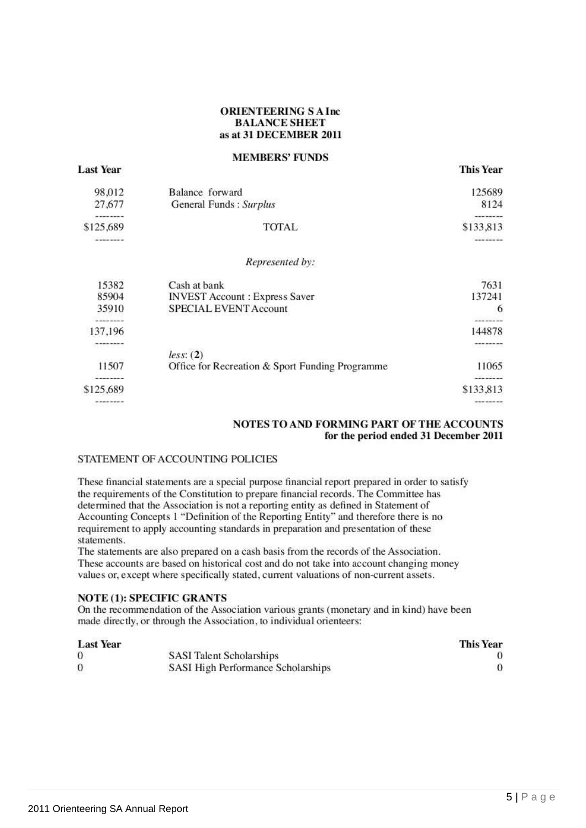#### **ORIENTEERING SAInc BALANCE SHEET** as at 31 DECEMBER 2011

#### **MEMBERS' FUNDS**

**This Year** 

| 98,012    | Balance forward                                 | 125689                 |
|-----------|-------------------------------------------------|------------------------|
| 27,677    | General Funds: Surplus                          | 8124                   |
| \$125,689 | <b>TOTAL</b>                                    | \$133,813              |
|           |                                                 | <b>Charles Comment</b> |
|           | Represented by:                                 |                        |
| 15382     | Cash at bank                                    | 7631                   |
| 85904     | <b>INVEST Account: Express Saver</b>            | 137241                 |
| 35910     | <b>SPECIAL EVENT Account</b>                    | 6                      |
|           |                                                 | -------                |
| 137,196   |                                                 | 144878                 |
|           |                                                 |                        |
|           | less: (2)                                       |                        |
| 11507     | Office for Recreation & Sport Funding Programme | 11065                  |
|           |                                                 |                        |
| \$125,689 |                                                 | \$133,813              |
|           |                                                 |                        |

#### NOTES TO AND FORMING PART OF THE ACCOUNTS for the period ended 31 December 2011

#### STATEMENT OF ACCOUNTING POLICIES

**Last Year** 

These financial statements are a special purpose financial report prepared in order to satisfy the requirements of the Constitution to prepare financial records. The Committee has determined that the Association is not a reporting entity as defined in Statement of Accounting Concepts 1 "Definition of the Reporting Entity" and therefore there is no requirement to apply accounting standards in preparation and presentation of these statements.

The statements are also prepared on a cash basis from the records of the Association. These accounts are based on historical cost and do not take into account changing money values or, except where specifically stated, current valuations of non-current assets.

#### **NOTE (1): SPECIFIC GRANTS**

On the recommendation of the Association various grants (monetary and in kind) have been made directly, or through the Association, to individual orienteers:

| <b>Last Year</b> |                                           | <b>This Year</b> |
|------------------|-------------------------------------------|------------------|
| $\mathbf{0}$     | <b>SASI</b> Talent Scholarships           |                  |
| $\theta$         | <b>SASI High Performance Scholarships</b> |                  |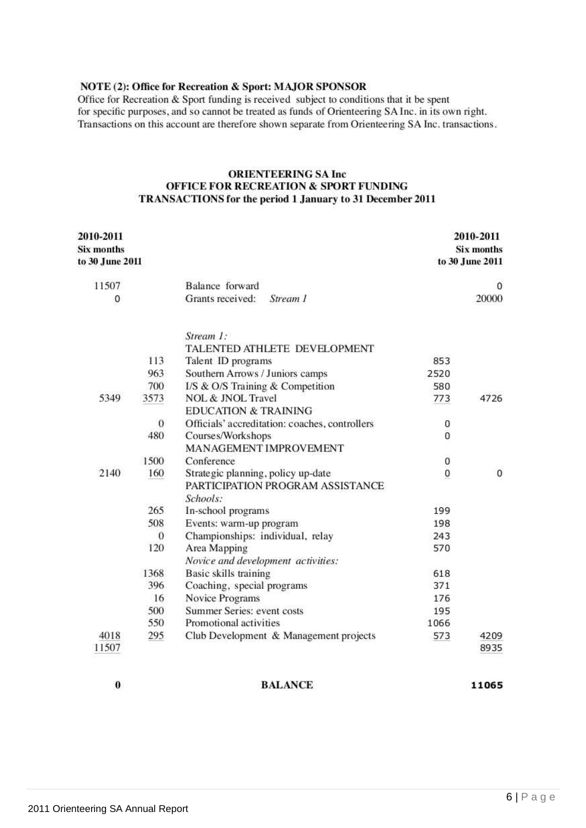#### NOTE (2): Office for Recreation & Sport: MAJOR SPONSOR

Office for Recreation & Sport funding is received subject to conditions that it be spent for specific purposes, and so cannot be treated as funds of Orienteering SA Inc. in its own right. Transactions on this account are therefore shown separate from Orienteering SA Inc. transactions.

#### **ORIENTEERING SA Inc.** OFFICE FOR RECREATION & SPORT FUNDING TRANSACTIONS for the period 1 January to 31 December 2011

| to 30 June 2011   |                                                | Six months<br>to 30 June 2011 |
|-------------------|------------------------------------------------|-------------------------------|
| $\Omega$          | Balance forward                                | 11507                         |
| 20000             | Grants received:<br>Stream 1                   | 0                             |
|                   | Stream 1:                                      |                               |
|                   | TALENTED ATHLETE DEVELOPMENT                   |                               |
| 853               | Talent ID programs                             | 113                           |
| 2520              | Southern Arrows / Juniors camps                | 963                           |
| 580               | I/S & O/S Training & Competition               | 700                           |
| 773<br>4726       | <b>NOL &amp; JNOL Travel</b>                   | 5349<br>3573                  |
|                   | <b>EDUCATION &amp; TRAINING</b>                |                               |
| 0                 | Officials' accreditation: coaches, controllers |                               |
| 0                 | Courses/Workshops                              | 480                           |
|                   | MANAGEMENT IMPROVEMENT                         |                               |
| 0                 | Conference                                     | 1500                          |
| $\mathbf{0}$<br>0 | Strategic planning, policy up-date             | 2140<br>160                   |
|                   | PARTICIPATION PROGRAM ASSISTANCE               |                               |
|                   | Schools:                                       |                               |
| 199               | In-school programs                             | 265                           |
| 198               | Events: warm-up program                        | 508                           |
| 243               | Championships: individual, relay               |                               |
| 570               | Area Mapping                                   | 120                           |
|                   | Novice and development activities:             |                               |
| 618               | Basic skills training                          | 1368                          |
| 371               | Coaching, special programs                     | 396                           |
| 176               | <b>Novice Programs</b>                         | 16                            |
| 195               | Summer Series: event costs                     | 500                           |
| 1066              | Promotional activities                         | 550                           |
| 573<br>4209       | Club Development & Management projects         | 4018<br>295                   |
| 8935              |                                                | 11507                         |

 $\bf{0}$ 

**BALANCE** 

11065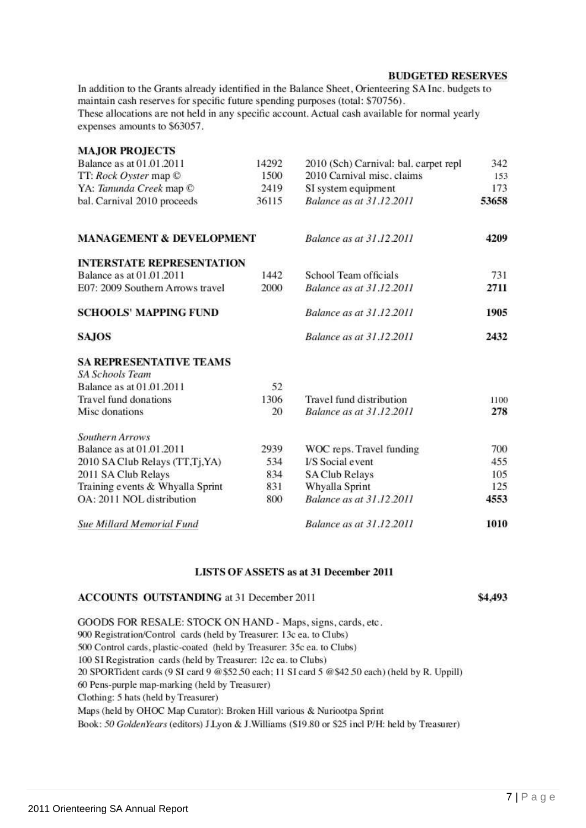#### **BUDGETED RESERVES**

In addition to the Grants already identified in the Balance Sheet, Orienteering SA Inc. budgets to maintain cash reserves for specific future spending purposes (total: \$70756). These allocations are not held in any specific account. Actual cash available for normal yearly expenses amounts to \$63057.

| <b>MAJOR PROJECTS</b>                                    |       |                                       |       |
|----------------------------------------------------------|-------|---------------------------------------|-------|
| Balance as at 01.01.2011                                 | 14292 | 2010 (Sch) Carnival: bal. carpet repl | 342   |
| TT: Rock Oyster map $\odot$                              | 1500  | 2010 Carnival misc. claims            | 153   |
| YA: Tanunda Creek map ©                                  | 2419  | SI system equipment                   | 173   |
| bal. Carnival 2010 proceeds                              | 36115 | <b>Balance as at 31.12.2011</b>       | 53658 |
| <b>MANAGEMENT &amp; DEVELOPMENT</b>                      |       | <b>Balance as at 31.12.2011</b>       | 4209  |
| <b>INTERSTATE REPRESENTATION</b>                         |       |                                       |       |
| Balance as at 01.01.2011                                 | 1442  | School Team officials                 | 731   |
| E07: 2009 Southern Arrows travel                         | 2000  | Balance as at 31.12.2011              | 2711  |
| <b>SCHOOLS' MAPPING FUND</b>                             |       | Balance as at 31.12.2011              | 1905  |
| <b>SAJOS</b>                                             |       | Balance as at 31.12.2011              | 2432  |
| <b>SA REPRESENTATIVE TEAMS</b><br><b>SA Schools Team</b> |       |                                       |       |
| Balance as at 01.01.2011                                 | 52    |                                       |       |
| Travel fund donations                                    | 1306  | Travel fund distribution              | 1100  |
| Misc donations                                           | 20    | <b>Balance as at 31.12.2011</b>       | 278   |
| Southern Arrows                                          |       |                                       |       |
| Balance as at 01.01.2011                                 | 2939  | WOC reps. Travel funding              | 700   |
| 2010 SA Club Relays (TT,Tj,YA)                           | 534   | <b>I/S</b> Social event               | 455   |
| 2011 SA Club Relays                                      | 834   | <b>SA Club Relays</b>                 | 105   |
| Training events & Whyalla Sprint                         | 831   | Whyalla Sprint                        | 125   |
| OA: 2011 NOL distribution                                | 800   | Balance as at 31.12.2011              | 4553  |
| <b>Sue Millard Memorial Fund</b>                         |       | <b>Balance as at 31.12.2011</b>       | 1010  |

#### LISTS OF ASSETS as at 31 December 2011

#### **ACCOUNTS OUTSTANDING** at 31 December 2011

\$4,493

GOODS FOR RESALE: STOCK ON HAND - Maps, signs, cards, etc. 900 Registration/Control cards (held by Treasurer: 13c ea. to Clubs) 500 Control cards, plastic-coated (held by Treasurer: 35c ea. to Clubs) 100 SI Registration cards (held by Treasurer: 12c ea. to Clubs) 20 SPORTident cards (9 SI card 9 @ \$52.50 each; 11 SI card 5 @ \$42.50 each) (held by R. Uppill) 60 Pens-purple map-marking (held by Treasurer) Clothing: 5 hats (held by Treasurer) Maps (held by OHOC Map Curator): Broken Hill various & Nuriootpa Sprint Book: 50 GoldenYears (editors) J.Lyon & J.Williams (\$19.80 or \$25 incl P/H: held by Treasurer)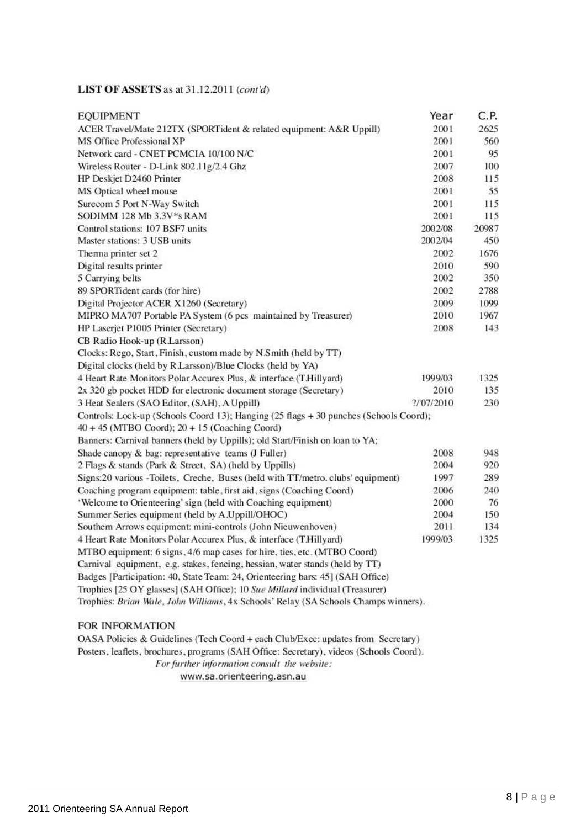#### LIST OF ASSETS as at 31.12.2011 (cont'd)

| <b>EQUIPMENT</b>                                                                      | Year       | C.P.  |
|---------------------------------------------------------------------------------------|------------|-------|
| ACER Travel/Mate 212TX (SPORTident & related equipment: A&R Uppill)                   | 2001       | 2625  |
| MS Office Professional XP                                                             | 2001       | 560   |
| Network card - CNET PCMCIA 10/100 N/C                                                 | 2001       | 95    |
| Wireless Router - D-Link 802.11g/2.4 Ghz                                              | 2007       | 100   |
| HP Deskjet D2460 Printer                                                              | 2008       | 115   |
| MS Optical wheel mouse                                                                | 2001       | 55    |
| Surecom 5 Port N-Way Switch                                                           | 2001       | 115   |
| SODIMM 128 Mb 3.3V*s RAM                                                              | 2001       | 115   |
| Control stations: 107 BSF7 units                                                      | 2002/08    | 20987 |
| Master stations: 3 USB units                                                          | 2002/04    | 450   |
| Therma printer set 2                                                                  | 2002       | 1676  |
| Digital results printer                                                               | 2010       | 590   |
| 5 Carrying belts                                                                      | 2002       | 350   |
| 89 SPORTident cards (for hire)                                                        | 2002       | 2788  |
| Digital Projector ACER X1260 (Secretary)                                              | 2009       | 1099  |
| MIPRO MA707 Portable PA System (6 pcs maintained by Treasurer)                        | 2010       | 1967  |
| HP Laserjet P1005 Printer (Secretary)                                                 | 2008       | 143   |
| CB Radio Hook-up (R.Larsson)                                                          |            |       |
| Clocks: Rego, Start, Finish, custom made by N.Smith (held by TT)                      |            |       |
| Digital clocks (held by R.Larsson)/Blue Clocks (held by YA)                           |            |       |
| 4 Heart Rate Monitors Polar Accurex Plus, & interface (T.Hillyard)                    | 1999/03    | 1325  |
| 2x 320 gb pocket HDD for electronic document storage (Secretary)                      | 2010       | 135   |
| 3 Heat Sealers (SAO Editor, (SAH), A Uppill)                                          | ?/'07/2010 | 230   |
| Controls: Lock-up (Schools Coord 13); Hanging (25 flags + 30 punches (Schools Coord); |            |       |
| 40 + 45 (MTBO Coord); 20 + 15 (Coaching Coord)                                        |            |       |
| Banners: Carnival banners (held by Uppills); old Start/Finish on loan to YA;          |            |       |
| Shade canopy & bag: representative teams (J Fuller)                                   | 2008       | 948   |
| 2 Flags & stands (Park & Street, SA) (held by Uppills)                                | 2004       | 920   |
| Signs:20 various -Toilets, Creche, Buses (held with TT/metro. clubs' equipment)       | 1997       | 289   |
| Coaching program equipment: table, first aid, signs (Coaching Coord)                  | 2006       | 240   |
| 'Welcome to Orienteering' sign (held with Coaching equipment)                         | 2000       | 76    |
| Summer Series equipment (held by A.Uppill/OHOC)                                       | 2004       | 150   |
| Southem Arrows equipment: mini-controls (John Nieuwenhoven)                           | 2011       | 134   |
| 4 Heart Rate Monitors Polar Accurex Plus, & interface (T.Hillyard)                    | 1999/03    | 1325  |
| MTBO equipment: 6 signs, 4/6 map cases for hire, ties, etc. (MTBO Coord)              |            |       |
| Carnival equipment, e.g. stakes, fencing, hessian, water stands (held by TT)          |            |       |
| Badges [Participation: 40, State Team: 24, Orienteering bars: 45] (SAH Office)        |            |       |
| Trophies [25 OY glasses] (SAH Office); 10 Sue Millard individual (Treasurer)          |            |       |
| Trophies: Brian Wale, John Williams, 4x Schools' Relay (SA Schools Champs winners).   |            |       |
|                                                                                       |            |       |

#### FOR INFORMATION

OASA Policies & Guidelines (Tech Coord + each Club/Exec: updates from Secretary) Posters, leaflets, brochures, programs (SAH Office: Secretary), videos (Schools Coord). For further information consult the website: www.sa.orienteering.asn.au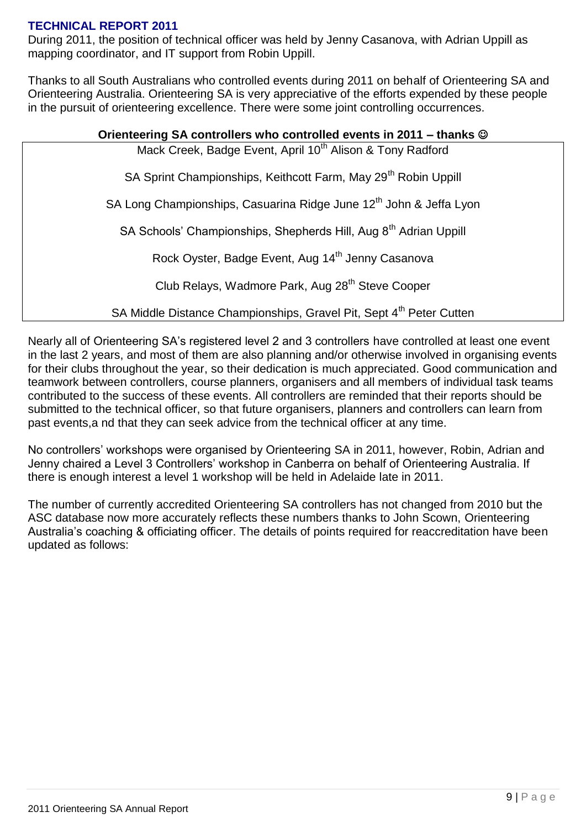# **TECHNICAL REPORT 2011**

During 2011, the position of technical officer was held by Jenny Casanova, with Adrian Uppill as mapping coordinator, and IT support from Robin Uppill.

Thanks to all South Australians who controlled events during 2011 on behalf of Orienteering SA and Orienteering Australia. Orienteering SA is very appreciative of the efforts expended by these people in the pursuit of orienteering excellence. There were some joint controlling occurrences.

#### **Orienteering SA controllers who controlled events in 2011 – thanks**

Mack Creek, Badge Event, April 10<sup>th</sup> Alison & Tony Radford

SA Sprint Championships, Keithcott Farm, May 29<sup>th</sup> Robin Uppill

SA Long Championships, Casuarina Ridge June 12<sup>th</sup> John & Jeffa Lyon

SA Schools' Championships, Shepherds Hill, Aug 8<sup>th</sup> Adrian Uppill

Rock Oyster, Badge Event, Aug 14<sup>th</sup> Jenny Casanova

Club Relays, Wadmore Park, Aug 28<sup>th</sup> Steve Cooper

# SA Middle Distance Championships, Gravel Pit, Sept 4<sup>th</sup> Peter Cutten

Nearly all of Orienteering SA's registered level 2 and 3 controllers have controlled at least one event in the last 2 years, and most of them are also planning and/or otherwise involved in organising events for their clubs throughout the year, so their dedication is much appreciated. Good communication and teamwork between controllers, course planners, organisers and all members of individual task teams contributed to the success of these events. All controllers are reminded that their reports should be submitted to the technical officer, so that future organisers, planners and controllers can learn from past events,a nd that they can seek advice from the technical officer at any time.

No controllers' workshops were organised by Orienteering SA in 2011, however, Robin, Adrian and Jenny chaired a Level 3 Controllers' workshop in Canberra on behalf of Orienteering Australia. If there is enough interest a level 1 workshop will be held in Adelaide late in 2011.

The number of currently accredited Orienteering SA controllers has not changed from 2010 but the ASC database now more accurately reflects these numbers thanks to John Scown, Orienteering Australia's coaching & officiating officer. The details of points required for reaccreditation have been updated as follows: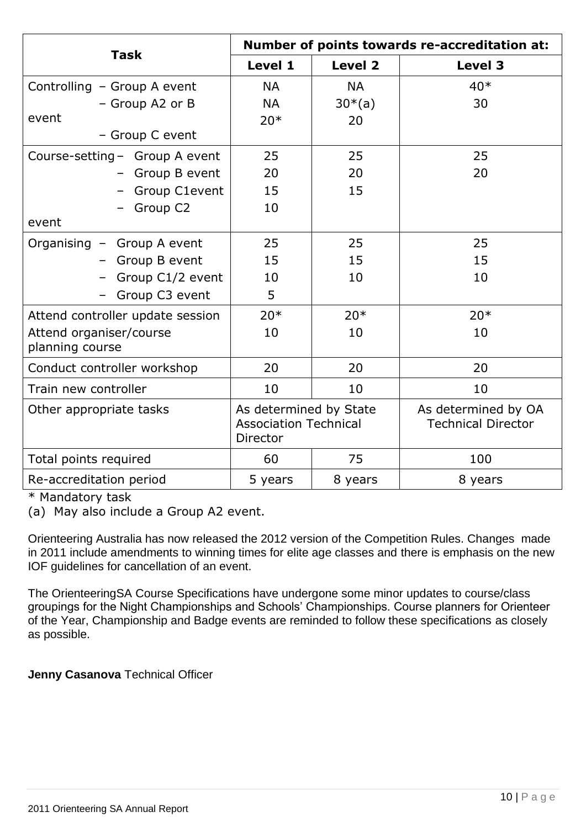|                                  | Number of points towards re-accreditation at:                      |                |                                                  |  |
|----------------------------------|--------------------------------------------------------------------|----------------|--------------------------------------------------|--|
| <b>Task</b>                      | Level 1                                                            | <b>Level 2</b> | Level 3                                          |  |
| Controlling - Group A event      | <b>NA</b>                                                          | <b>NA</b>      | $40*$                                            |  |
| - Group A2 or B                  | <b>NA</b>                                                          | $30*(a)$       | 30                                               |  |
| event                            | $20*$                                                              | 20             |                                                  |  |
| - Group C event                  |                                                                    |                |                                                  |  |
| Course-setting - Group A event   | 25                                                                 | 25             | 25                                               |  |
| Group B event                    | 20                                                                 | 20             | 20                                               |  |
| Group C1event                    | 15                                                                 | 15             |                                                  |  |
| Group C2                         | 10                                                                 |                |                                                  |  |
| event                            |                                                                    |                |                                                  |  |
| Organising - Group A event       | 25                                                                 | 25             | 25                                               |  |
| - Group B event                  | 15                                                                 | 15             | 15                                               |  |
| Group C1/2 event                 | 10                                                                 | 10             | 10                                               |  |
| Group C3 event                   | 5                                                                  |                |                                                  |  |
| Attend controller update session | $20*$                                                              | $20*$          | $20*$                                            |  |
| Attend organiser/course          | 10                                                                 | 10             | 10                                               |  |
| planning course                  |                                                                    |                |                                                  |  |
| Conduct controller workshop      | 20                                                                 | 20             | 20                                               |  |
| Train new controller             | 10                                                                 | 10             | 10                                               |  |
| Other appropriate tasks          | As determined by State<br><b>Association Technical</b><br>Director |                | As determined by OA<br><b>Technical Director</b> |  |
| Total points required            | 60                                                                 | 75             | 100                                              |  |
| Re-accreditation period          | 5 years                                                            | 8 years        | 8 years                                          |  |

\* Mandatory task

(a) May also include a Group A2 event.

Orienteering Australia has now released the 2012 version of the Competition Rules. Changes made in 2011 include amendments to winning times for elite age classes and there is emphasis on the new IOF guidelines for cancellation of an event.

The OrienteeringSA Course Specifications have undergone some minor updates to course/class groupings for the Night Championships and Schools' Championships. Course planners for Orienteer of the Year, Championship and Badge events are reminded to follow these specifications as closely as possible.

**Jenny Casanova** Technical Officer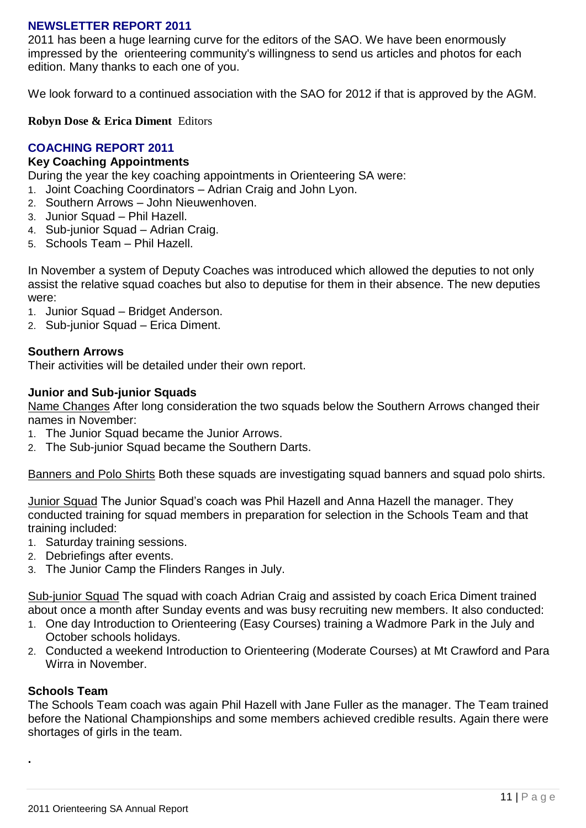# **NEWSLETTER REPORT 2011**

2011 has been a huge learning curve for the editors of the SAO. We have been enormously impressed by the orienteering community's willingness to send us articles and photos for each edition. Many thanks to each one of you.

We look forward to a continued association with the SAO for 2012 if that is approved by the AGM.

#### **Robyn Dose & Erica Diment** Editors

# **COACHING REPORT 2011**

# **Key Coaching Appointments**

During the year the key coaching appointments in Orienteering SA were:

- 1. Joint Coaching Coordinators Adrian Craig and John Lyon.
- 2. Southern Arrows John Nieuwenhoven.
- 3. Junior Squad Phil Hazell.
- 4. Sub-junior Squad Adrian Craig.
- 5. Schools Team Phil Hazell.

In November a system of Deputy Coaches was introduced which allowed the deputies to not only assist the relative squad coaches but also to deputise for them in their absence. The new deputies were:

- 1. Junior Squad Bridget Anderson.
- 2. Sub-junior Squad Erica Diment.

# **Southern Arrows**

Their activities will be detailed under their own report.

# **Junior and Sub-junior Squads**

Name Changes After long consideration the two squads below the Southern Arrows changed their names in November:

- 1. The Junior Squad became the Junior Arrows.
- 2. The Sub-junior Squad became the Southern Darts.

Banners and Polo Shirts Both these squads are investigating squad banners and squad polo shirts.

Junior Squad The Junior Squad's coach was Phil Hazell and Anna Hazell the manager. They conducted training for squad members in preparation for selection in the Schools Team and that training included:

- 1. Saturday training sessions.
- 2. Debriefings after events.
- 3. The Junior Camp the Flinders Ranges in July.

Sub-junior Squad The squad with coach Adrian Craig and assisted by coach Erica Diment trained about once a month after Sunday events and was busy recruiting new members. It also conducted:

- 1. One day Introduction to Orienteering (Easy Courses) training a Wadmore Park in the July and October schools holidays.
- 2. Conducted a weekend Introduction to Orienteering (Moderate Courses) at Mt Crawford and Para Wirra in November.

# **Schools Team**

**.**

The Schools Team coach was again Phil Hazell with Jane Fuller as the manager. The Team trained before the National Championships and some members achieved credible results. Again there were shortages of girls in the team.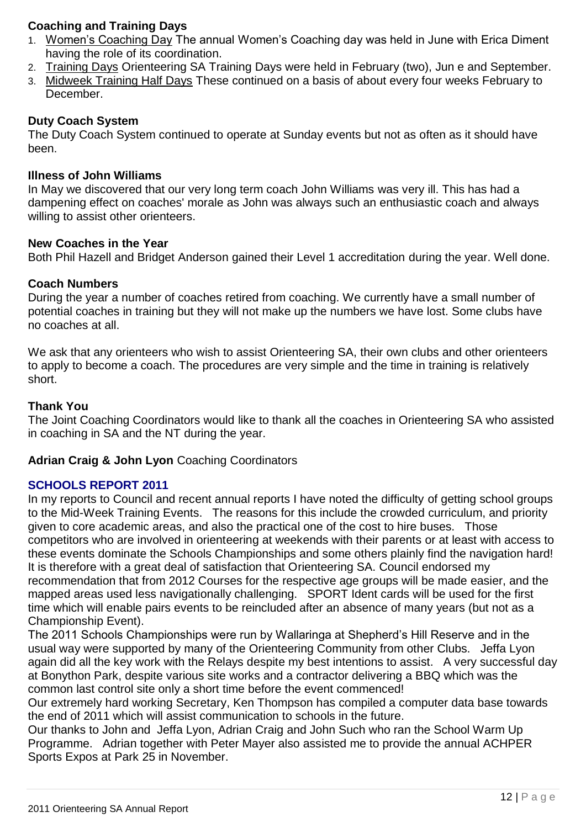# **Coaching and Training Days**

- 1. Women's Coaching Day The annual Women's Coaching day was held in June with Erica Diment having the role of its coordination.
- 2. Training Days Orienteering SA Training Days were held in February (two), Jun e and September.
- 3. Midweek Training Half Days These continued on a basis of about every four weeks February to December.

# **Duty Coach System**

The Duty Coach System continued to operate at Sunday events but not as often as it should have been.

# **Illness of John Williams**

In May we discovered that our very long term coach John Williams was very ill. This has had a dampening effect on coaches' morale as John was always such an enthusiastic coach and always willing to assist other orienteers.

# **New Coaches in the Year**

Both Phil Hazell and Bridget Anderson gained their Level 1 accreditation during the year. Well done.

# **Coach Numbers**

During the year a number of coaches retired from coaching. We currently have a small number of potential coaches in training but they will not make up the numbers we have lost. Some clubs have no coaches at all.

We ask that any orienteers who wish to assist Orienteering SA, their own clubs and other orienteers to apply to become a coach. The procedures are very simple and the time in training is relatively short.

# **Thank You**

The Joint Coaching Coordinators would like to thank all the coaches in Orienteering SA who assisted in coaching in SA and the NT during the year.

# **Adrian Craig & John Lyon** Coaching Coordinators

# **SCHOOLS REPORT 2011**

In my reports to Council and recent annual reports I have noted the difficulty of getting school groups to the Mid-Week Training Events. The reasons for this include the crowded curriculum, and priority given to core academic areas, and also the practical one of the cost to hire buses. Those competitors who are involved in orienteering at weekends with their parents or at least with access to these events dominate the Schools Championships and some others plainly find the navigation hard! It is therefore with a great deal of satisfaction that Orienteering SA. Council endorsed my recommendation that from 2012 Courses for the respective age groups will be made easier, and the mapped areas used less navigationally challenging. SPORT Ident cards will be used for the first time which will enable pairs events to be reincluded after an absence of many years (but not as a Championship Event).

The 2011 Schools Championships were run by Wallaringa at Shepherd's Hill Reserve and in the usual way were supported by many of the Orienteering Community from other Clubs. Jeffa Lyon again did all the key work with the Relays despite my best intentions to assist. A very successful day at Bonython Park, despite various site works and a contractor delivering a BBQ which was the common last control site only a short time before the event commenced!

Our extremely hard working Secretary, Ken Thompson has compiled a computer data base towards the end of 2011 which will assist communication to schools in the future.

Our thanks to John and Jeffa Lyon, Adrian Craig and John Such who ran the School Warm Up Programme. Adrian together with Peter Mayer also assisted me to provide the annual ACHPER Sports Expos at Park 25 in November.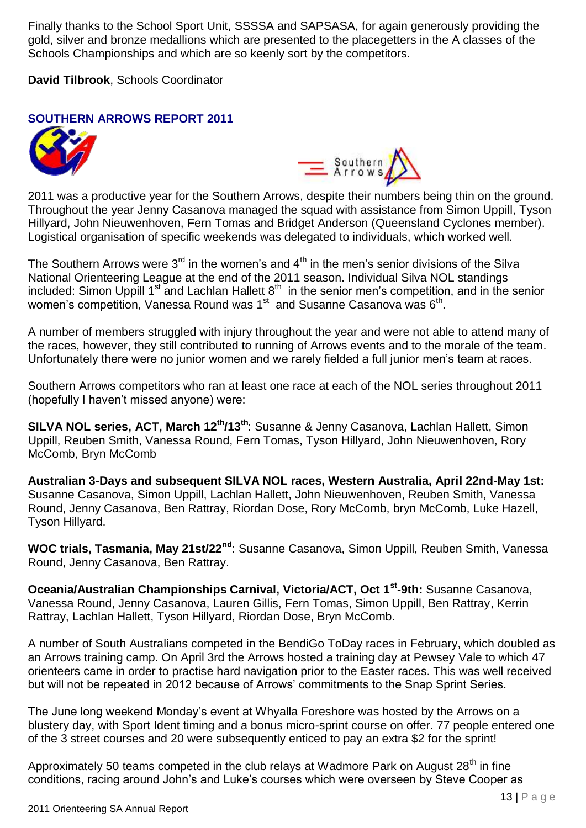Finally thanks to the School Sport Unit, SSSSA and SAPSASA, for again generously providing the gold, silver and bronze medallions which are presented to the placegetters in the A classes of the Schools Championships and which are so keenly sort by the competitors.

**David Tilbrook**, Schools Coordinator

# **SOUTHERN ARROWS REPORT 2011**





2011 was a productive year for the Southern Arrows, despite their numbers being thin on the ground. Throughout the year Jenny Casanova managed the squad with assistance from Simon Uppill, Tyson Hillyard, John Nieuwenhoven, Fern Tomas and Bridget Anderson (Queensland Cyclones member). Logistical organisation of specific weekends was delegated to individuals, which worked well.

The Southern Arrows were  $3<sup>rd</sup>$  in the women's and  $4<sup>th</sup>$  in the men's senior divisions of the Silva National Orienteering League at the end of the 2011 season. Individual Silva NOL standings included: Simon Uppill 1<sup>st</sup> and Lachlan Hallett  $8<sup>th</sup>$  in the senior men's competition, and in the senior women's competition, Vanessa Round was 1<sup>st</sup> and Susanne Casanova was 6<sup>th</sup>.

A number of members struggled with injury throughout the year and were not able to attend many of the races, however, they still contributed to running of Arrows events and to the morale of the team. Unfortunately there were no junior women and we rarely fielded a full junior men's team at races.

Southern Arrows competitors who ran at least one race at each of the NOL series throughout 2011 (hopefully I haven't missed anyone) were:

**SILVA NOL series, ACT, March 12th/13th**: Susanne & Jenny Casanova, Lachlan Hallett, Simon Uppill, Reuben Smith, Vanessa Round, Fern Tomas, Tyson Hillyard, John Nieuwenhoven, Rory McComb, Bryn McComb

**Australian 3-Days and subsequent SILVA NOL races, Western Australia, April 22nd-May 1st:** Susanne Casanova, Simon Uppill, Lachlan Hallett, John Nieuwenhoven, Reuben Smith, Vanessa Round, Jenny Casanova, Ben Rattray, Riordan Dose, Rory McComb, bryn McComb, Luke Hazell, Tyson Hillyard.

**WOC trials, Tasmania, May 21st/22nd**: Susanne Casanova, Simon Uppill, Reuben Smith, Vanessa Round, Jenny Casanova, Ben Rattray.

**Oceania/Australian Championships Carnival, Victoria/ACT, Oct 1<sup>st</sup>-9th: Susanne Casanova,** Vanessa Round, Jenny Casanova, Lauren Gillis, Fern Tomas, Simon Uppill, Ben Rattray, Kerrin Rattray, Lachlan Hallett, Tyson Hillyard, Riordan Dose, Bryn McComb.

A number of South Australians competed in the BendiGo ToDay races in February, which doubled as an Arrows training camp. On April 3rd the Arrows hosted a training day at Pewsey Vale to which 47 orienteers came in order to practise hard navigation prior to the Easter races. This was well received but will not be repeated in 2012 because of Arrows' commitments to the Snap Sprint Series.

The June long weekend Monday's event at Whyalla Foreshore was hosted by the Arrows on a blustery day, with Sport Ident timing and a bonus micro-sprint course on offer. 77 people entered one of the 3 street courses and 20 were subsequently enticed to pay an extra \$2 for the sprint!

Approximately 50 teams competed in the club relays at Wadmore Park on August  $28<sup>th</sup>$  in fine conditions, racing around John's and Luke's courses which were overseen by Steve Cooper as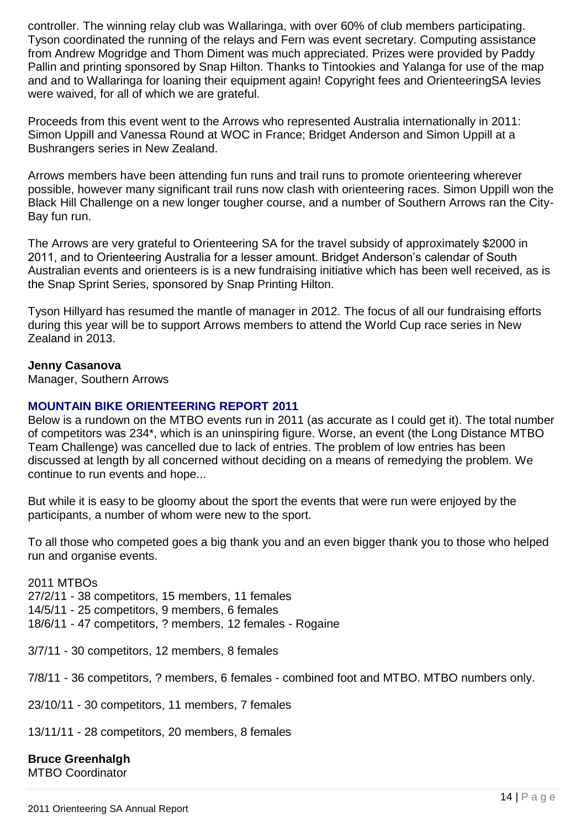controller. The winning relay club was Wallaringa, with over 60% of club members participating. Tyson coordinated the running of the relays and Fern was event secretary. Computing assistance from Andrew Mogridge and Thom Diment was much appreciated. Prizes were provided by Paddy Pallin and printing sponsored by Snap Hilton. Thanks to Tintookies and Yalanga for use of the map and and to Wallaringa for loaning their equipment again! Copyright fees and OrienteeringSA levies were waived, for all of which we are grateful.

Proceeds from this event went to the Arrows who represented Australia internationally in 2011: Simon Uppill and Vanessa Round at WOC in France; Bridget Anderson and Simon Uppill at a Bushrangers series in New Zealand.

Arrows members have been attending fun runs and trail runs to promote orienteering wherever possible, however many significant trail runs now clash with orienteering races. Simon Uppill won the Black Hill Challenge on a new longer tougher course, and a number of Southern Arrows ran the City-Bay fun run.

The Arrows are very grateful to Orienteering SA for the travel subsidy of approximately \$2000 in 2011, and to Orienteering Australia for a lesser amount. Bridget Anderson's calendar of South Australian events and orienteers is is a new fundraising initiative which has been well received, as is the Snap Sprint Series, sponsored by Snap Printing Hilton.

Tyson Hillyard has resumed the mantle of manager in 2012. The focus of all our fundraising efforts during this year will be to support Arrows members to attend the World Cup race series in New Zealand in 2013.

#### **Jenny Casanova**

Manager, Southern Arrows

# **MOUNTAIN BIKE ORIENTEERING REPORT 2011**

Below is a rundown on the MTBO events run in 2011 (as accurate as I could get it). The total number of competitors was 234\*, which is an uninspiring figure. Worse, an event (the Long Distance MTBO Team Challenge) was cancelled due to lack of entries. The problem of low entries has been discussed at length by all concerned without deciding on a means of remedying the problem. We continue to run events and hope...

But while it is easy to be gloomy about the sport the events that were run were enjoyed by the participants, a number of whom were new to the sport.

To all those who competed goes a big thank you and an even bigger thank you to those who helped run and organise events.

2011 MTBOs

27/2/11 - 38 competitors, 15 members, 11 females

14/5/11 - 25 competitors, 9 members, 6 females

18/6/11 - 47 competitors, ? members, 12 females - Rogaine

3/7/11 - 30 competitors, 12 members, 8 females

7/8/11 - 36 competitors, ? members, 6 females - combined foot and MTBO. MTBO numbers only.

23/10/11 - 30 competitors, 11 members, 7 females

13/11/11 - 28 competitors, 20 members, 8 females

# **Bruce Greenhalgh**

MTBO Coordinator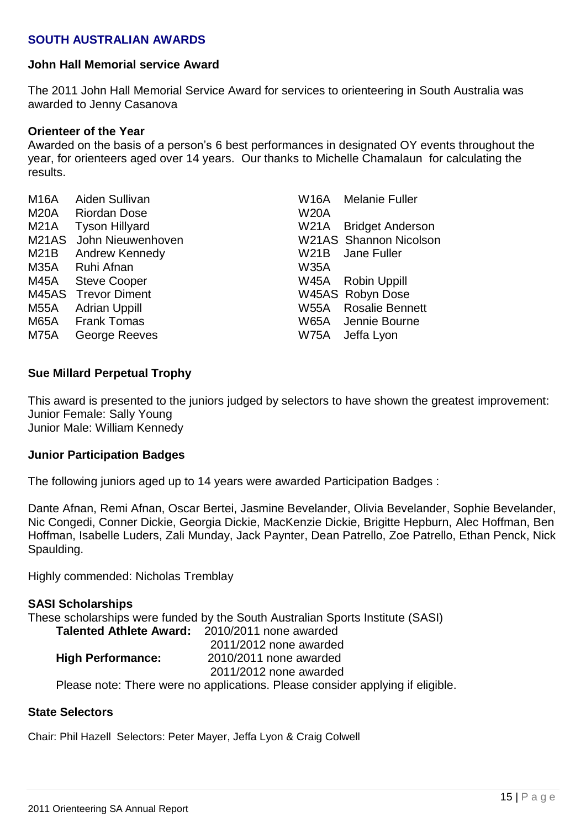# **SOUTH AUSTRALIAN AWARDS**

#### **John Hall Memorial service Award**

The 2011 John Hall Memorial Service Award for services to orienteering in South Australia was awarded to Jenny Casanova

#### **Orienteer of the Year**

Awarded on the basis of a person's 6 best performances in designated OY events throughout the year, for orienteers aged over 14 years. Our thanks to Michelle Chamalaun for calculating the results.

| Aiden Sullivan        | <b>W16A</b>                                                                                                                    | <b>Melanie Fuller</b>         |
|-----------------------|--------------------------------------------------------------------------------------------------------------------------------|-------------------------------|
| <b>Riordan Dose</b>   | <b>W20A</b>                                                                                                                    |                               |
| <b>Tyson Hillyard</b> | W21A                                                                                                                           | <b>Bridget Anderson</b>       |
|                       |                                                                                                                                | <b>W21AS Shannon Nicolson</b> |
|                       |                                                                                                                                | W21B Jane Fuller              |
| Ruhi Afnan            | <b>W35A</b>                                                                                                                    |                               |
|                       |                                                                                                                                | W45A Robin Uppill             |
|                       |                                                                                                                                | W45AS Robyn Dose              |
| <b>Adrian Uppill</b>  | W55A                                                                                                                           | <b>Rosalie Bennett</b>        |
|                       |                                                                                                                                | W65A Jennie Bourne            |
| George Reeves         | W75A                                                                                                                           | Jeffa Lyon                    |
|                       | M20A<br>M21AS John Nieuwenhoven<br>M21B Andrew Kennedy<br>M35A<br>M45A Steve Cooper<br>M45AS Trevor Diment<br>M65A Frank Tomas |                               |

#### **Sue Millard Perpetual Trophy**

This award is presented to the juniors judged by selectors to have shown the greatest improvement: Junior Female: Sally Young Junior Male: William Kennedy

#### **Junior Participation Badges**

The following juniors aged up to 14 years were awarded Participation Badges :

Dante Afnan, Remi Afnan, Oscar Bertei, Jasmine Bevelander, Olivia Bevelander, Sophie Bevelander, Nic Congedi, Conner Dickie, Georgia Dickie, MacKenzie Dickie, Brigitte Hepburn, Alec Hoffman, Ben Hoffman, Isabelle Luders, Zali Munday, Jack Paynter, Dean Patrello, Zoe Patrello, Ethan Penck, Nick Spaulding.

Highly commended: Nicholas Tremblay

#### **SASI Scholarships**

These scholarships were funded by the South Australian Sports Institute (SASI) **Talented Athlete Award:** 2010/2011 none awarded

| <b>Talented Athlete Award:</b> 2010/2011 none awarded                          |
|--------------------------------------------------------------------------------|
| 2011/2012 none awarded                                                         |
| 2010/2011 none awarded                                                         |
| 2011/2012 none awarded                                                         |
| Please note: There were no applications. Please consider applying if eligible. |
|                                                                                |

#### **State Selectors**

Chair: Phil Hazell Selectors: Peter Mayer, Jeffa Lyon & Craig Colwell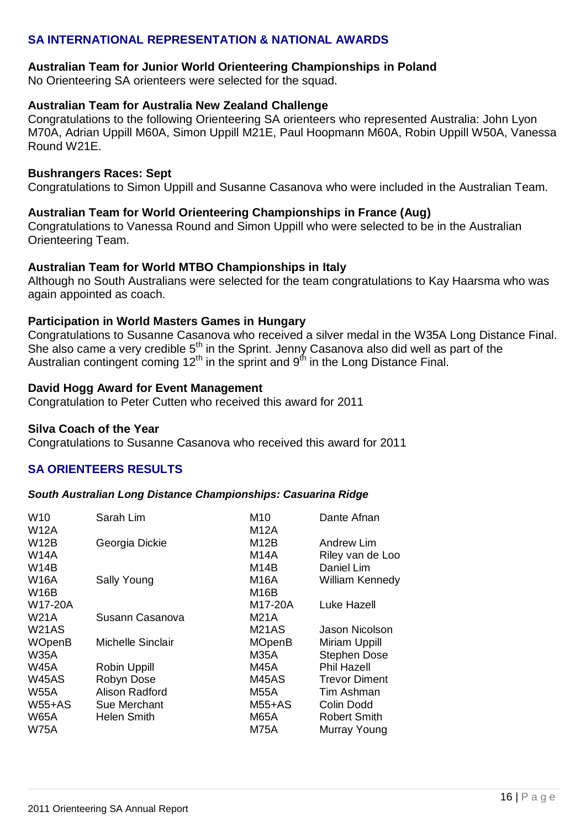# **SA INTERNATIONAL REPRESENTATION & NATIONAL AWARDS**

# **Australian Team for Junior World Orienteering Championships in Poland**

No Orienteering SA orienteers were selected for the squad.

#### **Australian Team for Australia New Zealand Challenge**

Congratulations to the following Orienteering SA orienteers who represented Australia: John Lyon M70A, Adrian Uppill M60A, Simon Uppill M21E, Paul Hoopmann M60A, Robin Uppill W50A, Vanessa Round W21E.

#### **Bushrangers Races: Sept**

Congratulations to Simon Uppill and Susanne Casanova who were included in the Australian Team.

# **Australian Team for World Orienteering Championships in France (Aug)**

Congratulations to Vanessa Round and Simon Uppill who were selected to be in the Australian Orienteering Team.

# **Australian Team for World MTBO Championships in Italy**

Although no South Australians were selected for the team congratulations to Kay Haarsma who was again appointed as coach.

# **Participation in World Masters Games in Hungary**

Congratulations to Susanne Casanova who received a silver medal in the W35A Long Distance Final. She also came a very credible  $5<sup>th</sup>$  in the Sprint. Jenny Casanova also did well as part of the Australian contingent coming  $12<sup>th</sup>$  in the sprint and  $9<sup>th</sup>$  in the Long Distance Final.

# **David Hogg Award for Event Management**

Congratulation to Peter Cutten who received this award for 2011

# **Silva Coach of the Year**

Congratulations to Susanne Casanova who received this award for 2011

# **SA ORIENTEERS RESULTS**

#### *South Australian Long Distance Championships: Casuarina Ridge*

| W <sub>10</sub><br><b>W12A</b> | Sarah Lim          | M <sub>10</sub><br>M12A | Dante Afnan            |
|--------------------------------|--------------------|-------------------------|------------------------|
| W12B                           | Georgia Dickie     | M12B                    | Andrew Lim             |
| W14A                           |                    | M14A                    | Riley van de Loo       |
| W14B                           |                    | M <sub>14</sub> B       | Daniel Lim             |
| W16A                           | Sally Young        | M16A                    | <b>William Kennedy</b> |
| W16B                           |                    | M <sub>16</sub> B       |                        |
| W17-20A                        |                    | M17-20A                 | Luke Hazell            |
| <b>W21A</b>                    | Susann Casanova    | M21A                    |                        |
| <b>W21AS</b>                   |                    | <b>M21AS</b>            | Jason Nicolson         |
| <b>WOpenB</b>                  | Michelle Sinclair  | <b>MOpenB</b>           | <b>Miriam Uppill</b>   |
| <b>W35A</b>                    |                    | <b>M35A</b>             | <b>Stephen Dose</b>    |
| <b>W45A</b>                    | Robin Uppill       | M45A                    | Phil Hazell            |
| <b>W45AS</b>                   | Robyn Dose         | M45AS                   | <b>Trevor Diment</b>   |
| <b>W55A</b>                    | Alison Radford     | <b>M55A</b>             | Tim Ashman             |
| $W55+AS$                       | Sue Merchant       | M55+AS                  | Colin Dodd             |
| <b>W65A</b>                    | <b>Helen Smith</b> | <b>M65A</b>             | <b>Robert Smith</b>    |
| <b>W75A</b>                    |                    | <b>M75A</b>             | Murray Young           |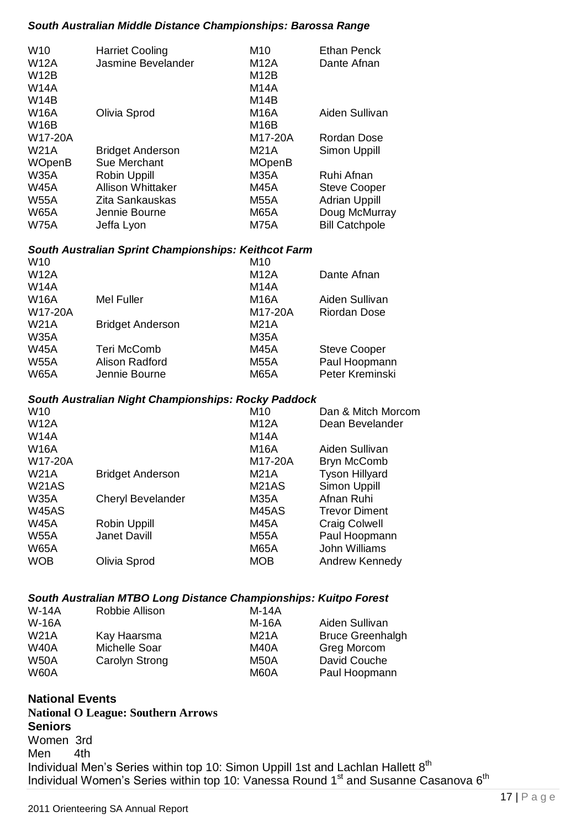#### *South Australian Middle Distance Championships: Barossa Range*

| W <sub>10</sub><br><b>W12A</b><br><b>W12B</b><br><b>W14A</b><br><b>W14B</b> | <b>Harriet Cooling</b><br>Jasmine Bevelander   | M <sub>10</sub><br><b>M12A</b><br>M12B<br>M14A<br>M <sub>14</sub> B | <b>Ethan Penck</b><br>Dante Afnan                              |
|-----------------------------------------------------------------------------|------------------------------------------------|---------------------------------------------------------------------|----------------------------------------------------------------|
| <b>W16A</b><br><b>W16B</b>                                                  | Olivia Sprod                                   | M16A<br>M <sub>16</sub> B                                           | Aiden Sullivan                                                 |
| W17-20A                                                                     |                                                | M17-20A                                                             | <b>Rordan Dose</b>                                             |
| <b>W21A</b><br><b>WOpenB</b>                                                | <b>Bridget Anderson</b><br>Sue Merchant        | <b>M21A</b><br><b>MOpenB</b>                                        | Simon Uppill                                                   |
| <b>W35A</b>                                                                 | <b>Robin Uppill</b>                            | <b>M35A</b>                                                         | Ruhi Afnan                                                     |
| <b>W45A</b>                                                                 | <b>Allison Whittaker</b>                       | <b>M45A</b>                                                         | <b>Steve Cooper</b>                                            |
| <b>W55A</b><br><b>W65A</b><br><b>W75A</b>                                   | Zita Sankauskas<br>Jennie Bourne<br>Jeffa Lyon | <b>M55A</b><br><b>M65A</b><br><b>M75A</b>                           | <b>Adrian Uppill</b><br>Doug McMurray<br><b>Bill Catchpole</b> |

#### *South Australian Sprint Championships: Keithcot Farm*

| W <sub>10</sub> |                         | M <sub>10</sub> |                     |
|-----------------|-------------------------|-----------------|---------------------|
| <b>W12A</b>     |                         | <b>M12A</b>     | Dante Afnan         |
| <b>W14A</b>     |                         | <b>M14A</b>     |                     |
| <b>W16A</b>     | Mel Fuller              | M16A            | Aiden Sullivan      |
| W17-20A         |                         | M17-20A         | <b>Riordan Dose</b> |
| <b>W21A</b>     | <b>Bridget Anderson</b> | M21A            |                     |
| <b>W35A</b>     |                         | <b>M35A</b>     |                     |
| <b>W45A</b>     | Teri McComb             | M45A            | <b>Steve Cooper</b> |
| <b>W55A</b>     | Alison Radford          | <b>M55A</b>     | Paul Hoopmann       |
| <b>W65A</b>     | Jennie Bourne           | <b>M65A</b>     | Peter Kreminski     |
|                 |                         |                 |                     |

#### *South Australian Night Championships: Rocky Paddock*

|                          | M <sub>10</sub>    | Dan & Mitch Morcom    |
|--------------------------|--------------------|-----------------------|
|                          | <b>M12A</b>        | Dean Bevelander       |
|                          | <b>M14A</b>        |                       |
|                          | M16A               | Aiden Sullivan        |
|                          | M17-20A            | <b>Bryn McComb</b>    |
| <b>Bridget Anderson</b>  | M21A               | <b>Tyson Hillyard</b> |
|                          | M <sub>21</sub> AS | Simon Uppill          |
| <b>Cheryl Bevelander</b> | <b>M35A</b>        | Afnan Ruhi            |
|                          | M45AS              | <b>Trevor Diment</b>  |
| Robin Uppill             | M45A               | <b>Craig Colwell</b>  |
| <b>Janet Davill</b>      | <b>M55A</b>        | Paul Hoopmann         |
|                          | <b>M65A</b>        | John Williams         |
| Olivia Sprod             | <b>MOB</b>         | Andrew Kennedy        |
|                          |                    |                       |

#### *South Australian MTBO Long Distance Championships: Kuitpo Forest*

| <b>W-14A</b> | Robbie Allison | M-14A |                         |
|--------------|----------------|-------|-------------------------|
| <b>W-16A</b> |                | M-16A | Aiden Sullivan          |
| <b>W21A</b>  | Kay Haarsma    | M21A  | <b>Bruce Greenhalgh</b> |
| <b>W40A</b>  | Michelle Soar  | M40A  | Greg Morcom             |
| <b>W50A</b>  | Carolyn Strong | M50A  | David Couche            |
| <b>W60A</b>  |                | M60A  | Paul Hoopmann           |

#### **National Events**

# **National O League: Southern Arrows Seniors** Women 3rd Men 4th Individual Men's Series within top 10: Simon Uppill 1st and Lachlan Hallett  $8<sup>th</sup>$ Individual Women's Series within top 10: Vanessa Round 1<sup>st</sup> and Susanne Casanova 6<sup>th</sup>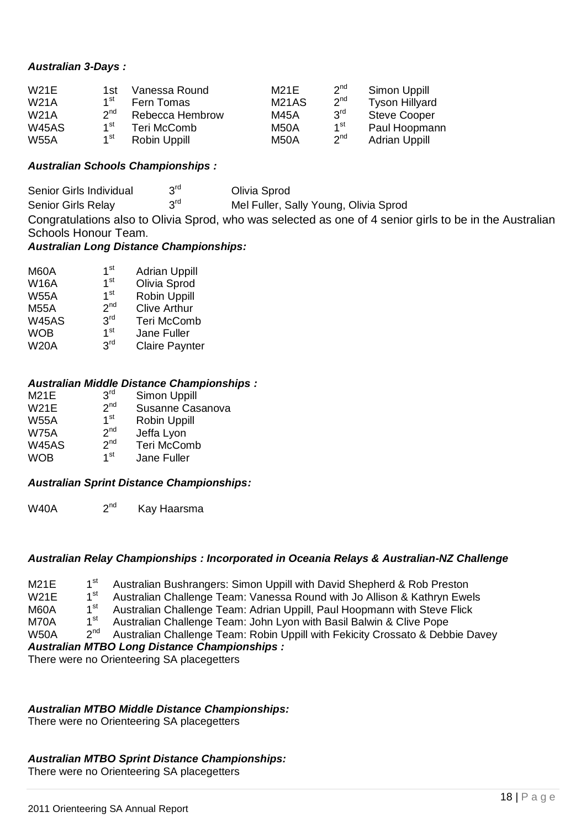#### *Australian 3-Days :*

| W21E         | 1st             | Vanessa Round   | M21E               | 2 <sup>nd</sup> | Simon Uppill          |
|--------------|-----------------|-----------------|--------------------|-----------------|-----------------------|
| <b>W21A</b>  | 1 <sup>st</sup> | Fern Tomas      | M <sub>21</sub> AS | 2 <sup>nd</sup> | <b>Tyson Hillyard</b> |
| <b>W21A</b>  | 2 <sub>nd</sub> | Rebecca Hembrow | M45A               | 3 <sup>rd</sup> | <b>Steve Cooper</b>   |
| <b>W45AS</b> | 1 <sup>st</sup> | Teri McComb     | M50A               | 1 <sup>st</sup> | Paul Hoopmann         |
| <b>W55A</b>  | 1 <sup>st</sup> | Robin Uppill    | M50A               | 2 <sup>nd</sup> | <b>Adrian Uppill</b>  |

#### *Australian Schools Championships :*

| Senior Girls Individual                 | 3 <sup>rd</sup> | Olivia Sprod                                                                                            |
|-----------------------------------------|-----------------|---------------------------------------------------------------------------------------------------------|
| <b>Senior Girls Relay</b>               | 3 <sup>rd</sup> | Mel Fuller, Sally Young, Olivia Sprod                                                                   |
|                                         |                 | Congratulations also to Olivia Sprod, who was selected as one of 4 senior girls to be in the Australian |
| Schools Honour Team.                    |                 |                                                                                                         |
| Australian Lang Distance Champianahina. |                 |                                                                                                         |

#### *Australian Long Distance Championships:*

| M60A         | 1 <sup>st</sup> | <b>Adrian Uppill</b>  |
|--------------|-----------------|-----------------------|
| <b>W16A</b>  | 1 <sup>st</sup> | Olivia Sprod          |
| <b>W55A</b>  | 1 <sup>st</sup> | Robin Uppill          |
| <b>M55A</b>  | 2 <sup>nd</sup> | <b>Clive Arthur</b>   |
| <b>W45AS</b> | 3 <sup>rd</sup> | Teri McComb           |
| <b>WOB</b>   | 1 <sup>st</sup> | Jane Fuller           |
| <b>W20A</b>  | 3 <sup>rd</sup> | <b>Claire Paynter</b> |
|              |                 |                       |

#### *Australian Middle Distance Championships :*

| Simon Uppill        |
|---------------------|
| Susanne Casanova    |
| <b>Robin Uppill</b> |
| Jeffa Lyon          |
| <b>Teri McComb</b>  |
| Jane Fuller         |
|                     |

#### *Australian Sprint Distance Championships:*

 $W40A$   $2<sup>nd</sup>$ Kay Haarsma

# *Australian Relay Championships : Incorporated in Oceania Relays & Australian-NZ Challenge*

| M21E                                                | 1 <sup>st</sup> | Australian Bushrangers: Simon Uppill with David Shepherd & Rob Preston        |  |
|-----------------------------------------------------|-----------------|-------------------------------------------------------------------------------|--|
| <b>W21E</b>                                         | 1 <sup>st</sup> | Australian Challenge Team: Vanessa Round with Jo Allison & Kathryn Ewels      |  |
| <b>M60A</b>                                         | 1 <sup>st</sup> | Australian Challenge Team: Adrian Uppill, Paul Hoopmann with Steve Flick      |  |
| M70A                                                | $1^{st}$        | Australian Challenge Team: John Lyon with Basil Balwin & Clive Pope           |  |
| <b>W50A</b>                                         | 2 <sup>na</sup> | Australian Challenge Team: Robin Uppill with Fekicity Crossato & Debbie Davey |  |
| <b>Australian MTBO Long Distance Championships:</b> |                 |                                                                               |  |

There were no Orienteering SA placegetters

#### *Australian MTBO Middle Distance Championships:*

There were no Orienteering SA placegetters

#### *Australian MTBO Sprint Distance Championships:*

There were no Orienteering SA placegetters